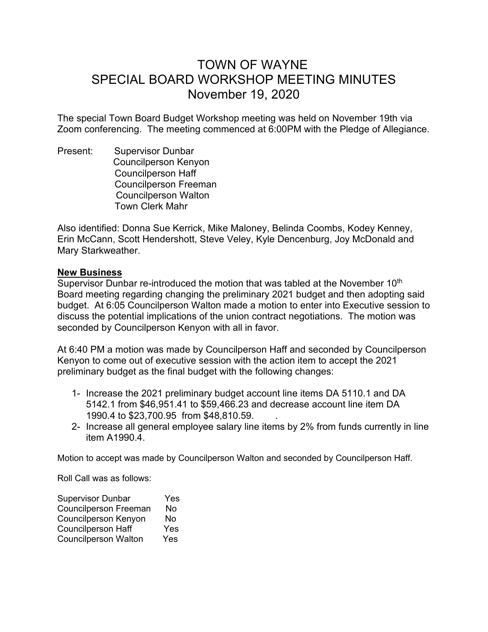## TOWN OF WAYNE SPECIAL BOARD WORKSHOP MEETING MINUTES November 19, 2020

The special Town Board Budget Workshop meeting was held on November 19th via Zoom conferencing. The meeting commenced at 6:00PM with the Pledge of Allegiance.

Present: Supervisor Dunbar Councilperson Kenyon Councilperson Haff Councilperson Freeman Councilperson Walton Town Clerk Mahr

Also identified: Donna Sue Kerrick, Mike Maloney, Belinda Coombs, Kodey Kenney, Erin McCann, Scott Hendershott, Steve Veley, Kyle Dencenburg, Joy McDonald and Mary Starkweather.

## **New Business**

Supervisor Dunbar re-introduced the motion that was tabled at the November 10<sup>th</sup> Board meeting regarding changing the preliminary 2021 budget and then adopting said budget. At 6:05 Councilperson Walton made a motion to enter into Executive session to discuss the potential implications of the union contract negotiations. The motion was seconded by Councilperson Kenyon with all in favor.

At 6:40 PM a motion was made by Councilperson Haff and seconded by Councilperson Kenyon to come out of executive session with the action item to accept the 2021 preliminary budget as the final budget with the following changes:

- 1- Increase the 2021 preliminary budget account line items DA 5110.1 and DA 5142.1 from \$46,951.41 to \$59,466.23 and decrease account line item DA 1990.4 to \$23,700.95 from \$48,810.59. .
- 2- Increase all general employee salary line items by 2% from funds currently in line item A1990.4.

Motion to accept was made by Councilperson Walton and seconded by Councilperson Haff.

Roll Call was as follows:

| <b>Supervisor Dunbar</b>     | Yes |
|------------------------------|-----|
| <b>Councilperson Freeman</b> | No  |
| Councilperson Kenyon         | No  |
| <b>Councilperson Haff</b>    | Yes |
| <b>Councilperson Walton</b>  | Yes |